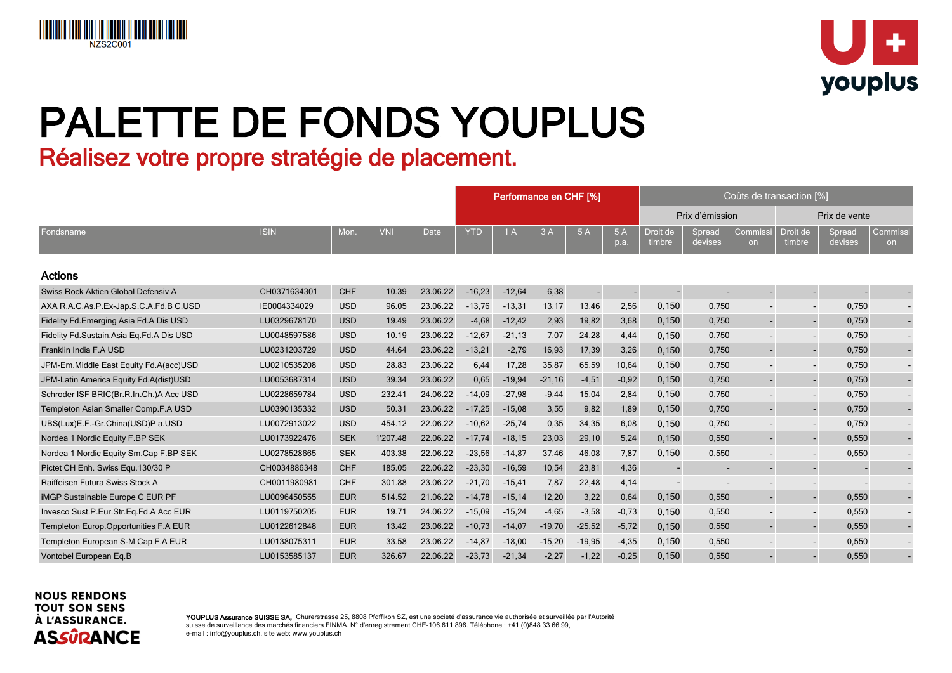



# PALETTE DE FONDS YOUPLUS

Réalisez votre propre stratégie de placement.

|                                          |              | Performance en CHF [%] |            |          |            |          | Coûts de transaction [%] |          |                |                    |                   |                          |                          |                   |                |  |
|------------------------------------------|--------------|------------------------|------------|----------|------------|----------|--------------------------|----------|----------------|--------------------|-------------------|--------------------------|--------------------------|-------------------|----------------|--|
|                                          |              |                        |            |          |            |          |                          |          |                | Prix d'émission    |                   |                          | Prix de vente            |                   |                |  |
| Fondsname                                | <b>ISIN</b>  | Mon.                   | <b>VNI</b> | Date     | <b>YTD</b> | 1A       | 3A                       | 5A       | 5 A<br>p.a.    | Droit de<br>timbre | Spread<br>devises | Commissi<br><b>on</b>    | Droit de<br>timbre       | Spread<br>devises | Commissi<br>on |  |
| Actions                                  |              |                        |            |          |            |          |                          |          |                |                    |                   |                          |                          |                   |                |  |
| Swiss Rock Aktien Global Defensiv A      | CH0371634301 | <b>CHF</b>             | 10.39      | 23.06.22 | $-16,23$   | $-12,64$ | 6,38                     |          | $\blacksquare$ |                    |                   |                          | $\blacksquare$           |                   |                |  |
| AXA R.A.C.As.P.Ex-Jap.S.C.A.Fd.B C.USD   | IE0004334029 | <b>USD</b>             | 96.05      | 23.06.22 | $-13,76$   | $-13,31$ | 13,17                    | 13,46    | 2,56           | 0,150              | 0,750             |                          | $\overline{\phantom{a}}$ | 0,750             |                |  |
| Fidelity Fd. Emerging Asia Fd. A Dis USD | LU0329678170 | <b>USD</b>             | 19.49      | 23.06.22 | $-4,68$    | $-12,42$ | 2,93                     | 19,82    | 3,68           | 0,150              | 0,750             | $\sim$                   | $\blacksquare$           | 0,750             |                |  |
| Fidelity Fd.Sustain.Asia Eq.Fd.A Dis USD | LU0048597586 | <b>USD</b>             | 10.19      | 23.06.22 | $-12,67$   | $-21,13$ | 7,07                     | 24,28    | 4,44           | 0,150              | 0,750             |                          | $\overline{\phantom{a}}$ | 0,750             |                |  |
| Franklin India F.A USD                   | LU0231203729 | <b>USD</b>             | 44.64      | 23.06.22 | $-13,21$   | $-2,79$  | 16,93                    | 17,39    | 3,26           | 0,150              | 0,750             | $\sim$                   | $\blacksquare$           | 0,750             |                |  |
| JPM-Em.Middle East Equity Fd.A(acc)USD   | LU0210535208 | <b>USD</b>             | 28.83      | 23.06.22 | 6,44       | 17,28    | 35,87                    | 65,59    | 10,64          | 0,150              | 0,750             | $\overline{\phantom{a}}$ | $\blacksquare$           | 0,750             |                |  |
| JPM-Latin America Equity Fd.A(dist)USD   | LU0053687314 | <b>USD</b>             | 39.34      | 23.06.22 | 0,65       | $-19,94$ | $-21,16$                 | $-4,51$  | $-0,92$        | 0,150              | 0,750             | $\blacksquare$           | $\blacksquare$           | 0,750             |                |  |
| Schroder ISF BRIC(Br.R.In.Ch.)A Acc USD  | LU0228659784 | <b>USD</b>             | 232.41     | 24.06.22 | $-14,09$   | $-27,98$ | $-9,44$                  | 15,04    | 2,84           | 0,150              | 0,750             | $\overline{\phantom{a}}$ | $\overline{\phantom{a}}$ | 0,750             |                |  |
| Templeton Asian Smaller Comp.F.A USD     | LU0390135332 | <b>USD</b>             | 50.31      | 23.06.22 | $-17,25$   | $-15,08$ | 3,55                     | 9,82     | 1,89           | 0,150              | 0,750             | $\overline{\phantom{a}}$ | $\blacksquare$           | 0,750             |                |  |
| UBS(Lux)E.F.-Gr.China(USD)P a.USD        | LU0072913022 | <b>USD</b>             | 454.12     | 22.06.22 | $-10,62$   | $-25,74$ | 0,35                     | 34,35    | 6,08           | 0,150              | 0,750             |                          | $\overline{\phantom{a}}$ | 0,750             |                |  |
| Nordea 1 Nordic Equity F.BP SEK          | LU0173922476 | <b>SEK</b>             | 1'207.48   | 22.06.22 | $-17,74$   | $-18,15$ | 23,03                    | 29,10    | 5,24           | 0,150              | 0,550             |                          | $\overline{\phantom{a}}$ | 0,550             |                |  |
| Nordea 1 Nordic Equity Sm.Cap F.BP SEK   | LU0278528665 | <b>SEK</b>             | 403.38     | 22.06.22 | $-23,56$   | $-14,87$ | 37,46                    | 46,08    | 7,87           | 0,150              | 0,550             |                          | $\overline{\phantom{a}}$ | 0,550             |                |  |
| Pictet CH Enh. Swiss Equ. 130/30 P       | CH0034886348 | <b>CHF</b>             | 185.05     | 22.06.22 | $-23,30$   | $-16,59$ | 10,54                    | 23,81    | 4,36           |                    |                   |                          | $\overline{\phantom{a}}$ |                   |                |  |
| Raiffeisen Futura Swiss Stock A          | CH0011980981 | <b>CHF</b>             | 301.88     | 23.06.22 | $-21,70$   | $-15,41$ | 7,87                     | 22,48    | 4,14           |                    |                   |                          | $\overline{\phantom{a}}$ |                   |                |  |
| iMGP Sustainable Europe C EUR PF         | LU0096450555 | <b>EUR</b>             | 514.52     | 21.06.22 | $-14,78$   | $-15,14$ | 12,20                    | 3,22     | 0,64           | 0,150              | 0,550             |                          | $\mathbf{r}$             | 0,550             |                |  |
| Invesco Sust.P.Eur.Str.Eq.Fd.A Acc EUR   | LU0119750205 | <b>EUR</b>             | 19.71      | 24.06.22 | $-15,09$   | $-15,24$ | $-4,65$                  | $-3,58$  | $-0,73$        | 0,150              | 0,550             |                          | $\overline{\phantom{a}}$ | 0,550             |                |  |
| Templeton Europ.Opportunities F.A EUR    | LU0122612848 | <b>EUR</b>             | 13.42      | 23.06.22 | $-10,73$   | $-14,07$ | $-19,70$                 | $-25,52$ | $-5,72$        | 0,150              | 0,550             |                          | $\blacksquare$           | 0,550             |                |  |
| Templeton European S-M Cap F.A EUR       | LU0138075311 | <b>EUR</b>             | 33.58      | 23.06.22 | $-14,87$   | $-18,00$ | $-15,20$                 | $-19,95$ | $-4,35$        | 0,150              | 0,550             |                          | $\overline{\phantom{a}}$ | 0,550             |                |  |
| Vontobel European Eq.B                   | LU0153585137 | <b>EUR</b>             | 326.67     | 22.06.22 | $-23,73$   | $-21,34$ | $-2,27$                  | $-1,22$  | $-0,25$        | 0,150              | 0,550             |                          |                          | 0,550             |                |  |

### **NOUS RENDONS TOUT SON SENS** À L'ASSURANCE. **ASSÛRANCE**

YOUPLUS Assurance SUISSE SA, Churerstrasse 25, 8808 Pfdffikon SZ, est une societé d'assurance vie authorisée et surveillée par l'Autorité suisse de surveillance des marchés financiers FINMA. N° d'enregistrement CHE-106.611.896. Téléphone : +41 (0)848 33 66 99, e-mail : info@youplus.ch, site web: www.youplus.ch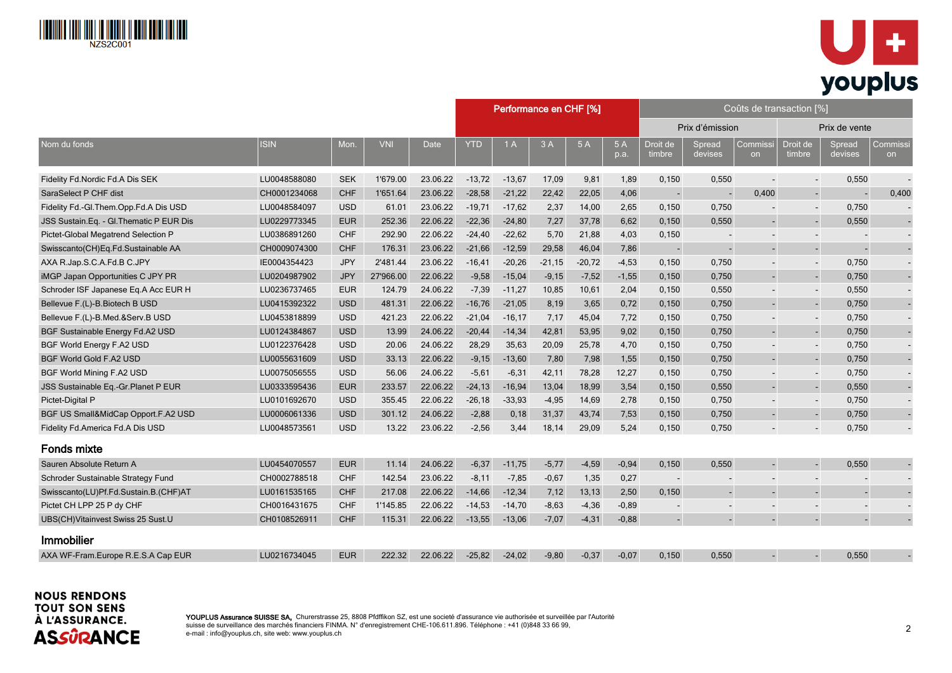



|                                         |              |            |            |          | Performance en CHF [%]<br>Coûts de transaction [%] |           |          |          |            |                          |                   |                 |                          |                   |                |
|-----------------------------------------|--------------|------------|------------|----------|----------------------------------------------------|-----------|----------|----------|------------|--------------------------|-------------------|-----------------|--------------------------|-------------------|----------------|
| Nom du fonds                            |              |            |            |          |                                                    |           |          |          |            | Prix d'émission          |                   |                 |                          | Prix de vente     |                |
|                                         | <b>ISIN</b>  | Mon.       | <b>VNI</b> | Date     | <b>YTD</b>                                         | 1A        | 3A       | 5 A      | 5A<br>p.a. | Droit de<br>timbre       | Spread<br>devises | Commissi<br>on. | Droit de<br>timbre       | Spread<br>devises | Commiss<br>on  |
| Fidelity Fd.Nordic Fd.A Dis SEK         | LU0048588080 | <b>SEK</b> | 1'679.00   | 23.06.22 | $-13,72$                                           | $-13,67$  | 17,09    | 9,81     | 1,89       | 0,150                    | 0,550             |                 | $\sim$                   | 0,550             |                |
| SaraSelect P CHF dist                   | CH0001234068 | <b>CHF</b> | 1'651.64   | 23.06.22 | $-28,58$                                           | $-21,22$  | 22,42    | 22,05    | 4,06       |                          |                   | 0,400           | $\overline{\phantom{a}}$ |                   | 0,400          |
| Fidelity Fd.-Gl.Them.Opp.Fd.A Dis USD   | LU0048584097 | <b>USD</b> | 61.01      | 23.06.22 | $-19,71$                                           | $-17,62$  | 2,37     | 14,00    | 2,65       | 0,150                    | 0,750             |                 | $\overline{\phantom{a}}$ | 0,750             |                |
| JSS Sustain.Eq. - Gl.Thematic P EUR Dis | LU0229773345 | <b>EUR</b> | 252.36     | 22.06.22 | $-22,36$                                           | $-24,80$  | 7,27     | 37,78    | 6,62       | 0,150                    | 0,550             |                 | $\Box$                   | 0,550             |                |
| Pictet-Global Megatrend Selection P     | LU0386891260 | <b>CHF</b> | 292.90     | 22.06.22 | $-24,40$                                           | $-22,62$  | 5,70     | 21,88    | 4,03       | 0,150                    |                   |                 | $\overline{\phantom{a}}$ |                   |                |
| Swisscanto(CH)Eq.Fd.Sustainable AA      | CH0009074300 | <b>CHF</b> | 176.31     | 23.06.22 | $-21,66$                                           | $-12,59$  | 29,58    | 46,04    | 7,86       |                          |                   |                 | $\blacksquare$           |                   |                |
| AXA R.Jap.S.C.A.Fd.B C.JPY              | IE0004354423 | <b>JPY</b> | 2'481.44   | 23.06.22 | $-16,41$                                           | $-20,26$  | $-21,15$ | $-20,72$ | $-4,53$    | 0,150                    | 0,750             |                 | $\overline{\phantom{a}}$ | 0,750             | $\blacksquare$ |
| iMGP Japan Opportunities C JPY PR       | LU0204987902 | <b>JPY</b> | 27'966.00  | 22.06.22 | $-9,58$                                            | $-15,04$  | $-9,15$  | $-7,52$  | $-1,55$    | 0,150                    | 0,750             |                 | $\blacksquare$           | 0,750             |                |
| Schroder ISF Japanese Eq.A Acc EUR H    | LU0236737465 | <b>EUR</b> | 124.79     | 24.06.22 | $-7,39$                                            | $-11,27$  | 10,85    | 10,61    | 2,04       | 0,150                    | 0,550             |                 | $\blacksquare$           | 0,550             |                |
| Bellevue F.(L)-B.Biotech B USD          | LU0415392322 | <b>USD</b> | 481.31     | 22.06.22 | $-16,76$                                           | $-21,05$  | 8,19     | 3,65     | 0,72       | 0,150                    | 0,750             |                 |                          | 0,750             |                |
| Bellevue F.(L)-B.Med.&Serv.B USD        | LU0453818899 | <b>USD</b> | 421.23     | 22.06.22 | $-21,04$                                           | $-16, 17$ | 7,17     | 45,04    | 7,72       | 0,150                    | 0,750             |                 | $\blacksquare$           | 0,750             | $\blacksquare$ |
| BGF Sustainable Energy Fd.A2 USD        | LU0124384867 | <b>USD</b> | 13.99      | 24.06.22 | $-20,44$                                           | $-14,34$  | 42,81    | 53,95    | 9,02       | 0,150                    | 0,750             |                 | $\overline{a}$           | 0,750             |                |
| BGF World Energy F.A2 USD               | LU0122376428 | <b>USD</b> | 20.06      | 24.06.22 | 28,29                                              | 35,63     | 20,09    | 25,78    | 4,70       | 0,150                    | 0,750             |                 | $\blacksquare$           | 0,750             |                |
| BGF World Gold F.A2 USD                 | LU0055631609 | <b>USD</b> | 33.13      | 22.06.22 | $-9,15$                                            | $-13,60$  | 7,80     | 7,98     | 1,55       | 0,150                    | 0,750             |                 | $\blacksquare$           | 0,750             |                |
| BGF World Mining F.A2 USD               | LU0075056555 | <b>USD</b> | 56.06      | 24.06.22 | $-5,61$                                            | $-6,31$   | 42,11    | 78,28    | 12,27      | 0,150                    | 0,750             |                 | $\overline{\phantom{a}}$ | 0,750             |                |
| JSS Sustainable Eq.-Gr.Planet P EUR     | LU0333595436 | <b>EUR</b> | 233.57     | 22.06.22 | $-24, 13$                                          | $-16,94$  | 13,04    | 18,99    | 3,54       | 0,150                    | 0,550             |                 | $\overline{a}$           | 0,550             |                |
| Pictet-Digital P                        | LU0101692670 | <b>USD</b> | 355.45     | 22.06.22 | $-26,18$                                           | $-33,93$  | $-4,95$  | 14,69    | 2,78       | 0,150                    | 0,750             |                 | $\blacksquare$           | 0,750             |                |
| BGF US Small&MidCap Opport.F.A2 USD     | LU0006061336 | <b>USD</b> | 301.12     | 24.06.22 | $-2,88$                                            | 0,18      | 31,37    | 43,74    | 7,53       | 0,150                    | 0,750             |                 | $\blacksquare$           | 0,750             |                |
| Fidelity Fd.America Fd.A Dis USD        | LU0048573561 | <b>USD</b> | 13.22      | 23.06.22 | $-2,56$                                            | 3,44      | 18,14    | 29,09    | 5,24       | 0,150                    | 0,750             |                 | $\blacksquare$           | 0,750             |                |
| <b>Fonds mixte</b>                      |              |            |            |          |                                                    |           |          |          |            |                          |                   |                 |                          |                   |                |
| Sauren Absolute Return A                | LU0454070557 | <b>EUR</b> | 11.14      | 24.06.22 | $-6,37$                                            | $-11,75$  | $-5,77$  | $-4,59$  | $-0,94$    | 0,150                    | 0,550             |                 | $\blacksquare$           | 0,550             |                |
| Schroder Sustainable Strategy Fund      | CH0002788518 | <b>CHF</b> | 142.54     | 23.06.22 | $-8,11$                                            | $-7,85$   | $-0,67$  | 1,35     | 0,27       | $\overline{\phantom{a}}$ |                   |                 | $\overline{\phantom{a}}$ |                   |                |
| Swisscanto(LU)Pf.Fd.Sustain.B.(CHF)AT   | LU0161535165 | <b>CHF</b> | 217.08     | 22.06.22 | $-14,66$                                           | $-12,34$  | 7,12     | 13,13    | 2,50       | 0,150                    |                   |                 | $\Box$                   |                   |                |
| Pictet CH LPP 25 P dy CHF               | CH0016431675 | <b>CHF</b> | 1'145.85   | 22.06.22 | $-14,53$                                           | $-14,70$  | $-8,63$  | $-4,36$  | $-0.89$    |                          |                   |                 |                          |                   |                |
| UBS(CH)Vitainvest Swiss 25 Sust.U       | CH0108526911 | <b>CHF</b> | 115.31     | 22.06.22 | $-13,55$                                           | $-13,06$  | $-7,07$  | $-4,31$  | $-0,88$    |                          | $\overline{a}$    |                 | $\blacksquare$           |                   |                |
| <b>Immobilier</b>                       |              |            |            |          |                                                    |           |          |          |            |                          |                   |                 |                          |                   |                |
| AXA WF-Fram.Europe R.E.S.A Cap EUR      | LU0216734045 | <b>EUR</b> | 222.32     | 22.06.22 | $-25,82$                                           | $-24,02$  | $-9,80$  | $-0.37$  | $-0,07$    | 0,150                    | 0,550             |                 |                          | 0,550             |                |

**NOUS RENDONS TOUT SON SENS** À L'ASSURANCE. **ASSÛRANCE** 

YOUPLUS Assurance SUISSE SA, Churerstrasse 25, 8808 Pfdffikon SZ, est une societé d'assurance vie authorisée et surveillée par l'Autorité suisse de surveillance des marchés financiers FINMA. N° d'enregistrement CHE-106.611.896. Téléphone : +41 (0)848 33 66 99, e-mail : info@youplus.ch, site web: www.youplus.ch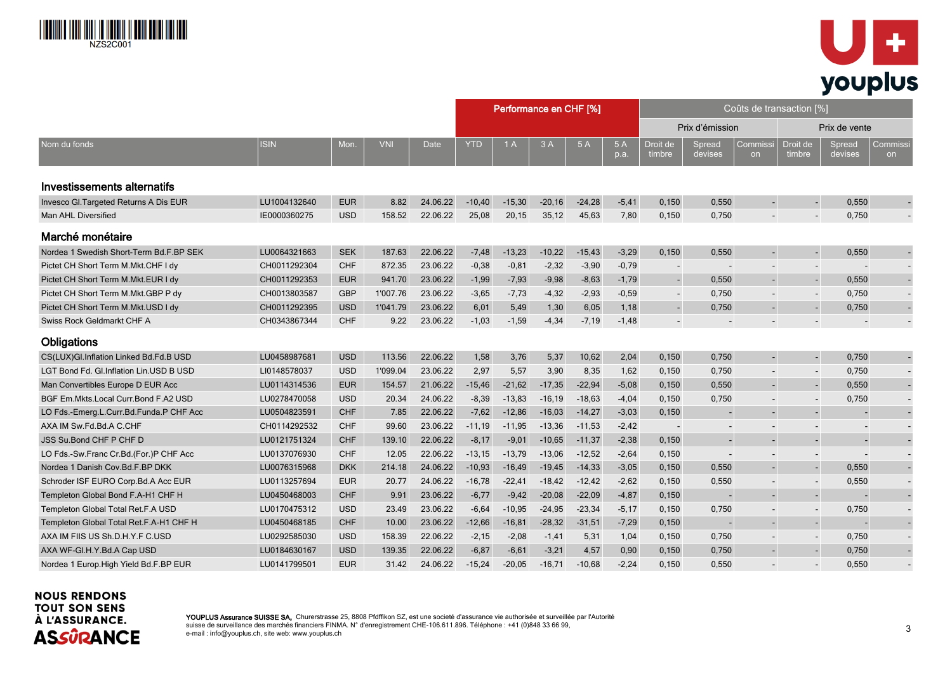



|                                          |              |            |            |             |            | Performance en CHF [%] |           |          |            | Coûts de transaction [%] |                          |                |                          |                          |                          |  |  |
|------------------------------------------|--------------|------------|------------|-------------|------------|------------------------|-----------|----------|------------|--------------------------|--------------------------|----------------|--------------------------|--------------------------|--------------------------|--|--|
|                                          |              |            |            | <b>Date</b> |            |                        |           |          |            | Prix d'émission          |                          |                | Prix de vente            |                          |                          |  |  |
| Nom du fonds                             | <b>ISIN</b>  | Mon.       | <b>VNI</b> |             | <b>YTD</b> | 1A                     | 3A        | 5A       | 5A<br>p.a. | Droit de<br>timbre       | Spread<br>devises        | Commissi<br>on | Droit de<br>timbre       | Spread<br>devises        | Commissi<br>on           |  |  |
| Investissements alternatifs              |              |            |            |             |            |                        |           |          |            |                          |                          |                |                          |                          |                          |  |  |
| Invesco Gl. Targeted Returns A Dis EUR   | LU1004132640 | <b>EUR</b> | 8.82       | 24.06.22    | $-10,40$   | $-15,30$               | $-20,16$  | $-24,28$ | $-5,41$    | 0,150                    | 0,550                    | $\blacksquare$ | $\Box$                   | 0,550                    |                          |  |  |
| Man AHL Diversified                      | IE0000360275 | <b>USD</b> | 158.52     | 22.06.22    | 25,08      | 20,15                  | 35,12     | 45,63    | 7,80       | 0,150                    | 0,750                    |                |                          | 0,750                    |                          |  |  |
| Marché monétaire                         |              |            |            |             |            |                        |           |          |            |                          |                          |                |                          |                          |                          |  |  |
| Nordea 1 Swedish Short-Term Bd.F.BP SEK  | LU0064321663 | <b>SEK</b> | 187.63     | 22.06.22    | $-7,48$    | $-13,23$               | $-10,22$  | $-15,43$ | $-3,29$    | 0,150                    | 0,550                    |                | $\overline{\phantom{a}}$ | 0,550                    |                          |  |  |
| Pictet CH Short Term M.Mkt.CHF I dy      | CH0011292304 | <b>CHF</b> | 872.35     | 23.06.22    | $-0,38$    | $-0,81$                | $-2,32$   | $-3,90$  | $-0,79$    | $\overline{\phantom{a}}$ | $\overline{\phantom{a}}$ |                | $\overline{\phantom{a}}$ | $\overline{\phantom{a}}$ |                          |  |  |
| Pictet CH Short Term M.Mkt.EUR I dy      | CH0011292353 | <b>EUR</b> | 941.70     | 23.06.22    | $-1,99$    | $-7,93$                | $-9,98$   | $-8,63$  | $-1,79$    |                          | 0,550                    |                |                          | 0,550                    |                          |  |  |
| Pictet CH Short Term M.Mkt.GBP P dy      | CH0013803587 | <b>GBP</b> | 1'007.76   | 23.06.22    | $-3,65$    | $-7,73$                | $-4,32$   | $-2,93$  | $-0.59$    |                          | 0,750                    |                | $\overline{\phantom{a}}$ | 0,750                    | $\blacksquare$           |  |  |
| Pictet CH Short Term M.Mkt.USD I dy      | CH0011292395 | <b>USD</b> | 1'041.79   | 23.06.22    | 6,01       | 5,49                   | 1,30      | 6,05     | 1,18       | $\blacksquare$           | 0,750                    |                | $\blacksquare$           | 0,750                    |                          |  |  |
| Swiss Rock Geldmarkt CHF A               | CH0343867344 | <b>CHF</b> | 9.22       | 23.06.22    | $-1,03$    | $-1,59$                | $-4,34$   | $-7.19$  | $-1,48$    |                          |                          |                | $\blacksquare$           |                          |                          |  |  |
| Obligations                              |              |            |            |             |            |                        |           |          |            |                          |                          |                |                          |                          |                          |  |  |
| CS(LUX)Gl.Inflation Linked Bd.Fd.B USD   | LU0458987681 | <b>USD</b> | 113.56     | 22.06.22    | 1,58       | 3,76                   | 5,37      | 10,62    | 2,04       | 0,150                    | 0,750                    |                | $\overline{\phantom{a}}$ | 0,750                    |                          |  |  |
| LGT Bond Fd. Gl.Inflation Lin. USD B USD | LI0148578037 | <b>USD</b> | 1'099.04   | 23.06.22    | 2,97       | 5,57                   | 3,90      | 8,35     | 1,62       | 0,150                    | 0,750                    |                | $\overline{\phantom{a}}$ | 0,750                    | $\overline{\phantom{a}}$ |  |  |
| Man Convertibles Europe D EUR Acc        | LU0114314536 | <b>EUR</b> | 154.57     | 21.06.22    | $-15,46$   | $-21,62$               | $-17,35$  | $-22.94$ | $-5,08$    | 0,150                    | 0,550                    |                | $\overline{a}$           | 0,550                    | ÷,                       |  |  |
| BGF Em.Mkts.Local Curr.Bond F.A2 USD     | LU0278470058 | <b>USD</b> | 20.34      | 24.06.22    | $-8,39$    | $-13,83$               | $-16, 19$ | $-18,63$ | $-4,04$    | 0,150                    | 0,750                    |                | $\overline{\phantom{a}}$ | 0,750                    | $\blacksquare$           |  |  |
| LO Fds.-Emerg.L.Curr.Bd.Funda.P CHF Acc  | LU0504823591 | <b>CHF</b> | 7.85       | 22.06.22    | $-7,62$    | $-12,86$               | $-16,03$  | $-14,27$ | $-3,03$    | 0,150                    |                          |                |                          |                          |                          |  |  |
| AXA IM Sw.Fd.Bd.A C.CHF                  | CH0114292532 | <b>CHF</b> | 99.60      | 23.06.22    | $-11,19$   | $-11,95$               | $-13,36$  | $-11,53$ | $-2,42$    |                          |                          |                |                          |                          |                          |  |  |
| <b>JSS Su.Bond CHF P CHF D</b>           | LU0121751324 | <b>CHF</b> | 139.10     | 22.06.22    | $-8.17$    | $-9.01$                | $-10,65$  | $-11.37$ | $-2,38$    | 0,150                    |                          |                | $\blacksquare$           |                          |                          |  |  |
| LO Fds.-Sw.Franc Cr.Bd.(For.)P CHF Acc   | LU0137076930 | <b>CHF</b> | 12.05      | 22.06.22    | $-13,15$   | $-13,79$               | $-13,06$  | $-12,52$ | $-2,64$    | 0,150                    | $\overline{\phantom{a}}$ |                | $\overline{\phantom{a}}$ |                          | $\blacksquare$           |  |  |
| Nordea 1 Danish Cov. Bd. F. BP DKK       | LU0076315968 | <b>DKK</b> | 214.18     | 24.06.22    | $-10,93$   | $-16,49$               | $-19,45$  | $-14,33$ | $-3,05$    | 0,150                    | 0,550                    |                | $\blacksquare$           | 0,550                    |                          |  |  |
| Schroder ISF EURO Corp.Bd.A Acc EUR      | LU0113257694 | <b>EUR</b> | 20.77      | 24.06.22    | $-16,78$   | $-22,41$               | $-18,42$  | $-12,42$ | $-2,62$    | 0,150                    | 0,550                    |                | $\overline{\phantom{a}}$ | 0,550                    |                          |  |  |
| Templeton Global Bond F.A-H1 CHF H       | LU0450468003 | <b>CHF</b> | 9.91       | 23.06.22    | $-6,77$    | $-9,42$                | $-20,08$  | $-22,09$ | $-4,87$    | 0,150                    |                          |                | $\overline{a}$           |                          |                          |  |  |
| Templeton Global Total Ret.F.A USD       | LU0170475312 | <b>USD</b> | 23.49      | 23.06.22    | $-6,64$    | $-10,95$               | $-24,95$  | $-23,34$ | $-5,17$    | 0,150                    | 0,750                    |                | $\overline{\phantom{a}}$ | 0,750                    | $\blacksquare$           |  |  |
| Templeton Global Total Ret.F.A-H1 CHF H  | LU0450468185 | <b>CHF</b> | 10.00      | 23.06.22    | $-12,66$   | $-16, 81$              | $-28,32$  | $-31,51$ | $-7,29$    | 0,150                    |                          |                | $\overline{a}$           |                          |                          |  |  |
| AXA IM FIIS US Sh.D.H.Y.F C.USD          | LU0292585030 | <b>USD</b> | 158.39     | 22.06.22    | $-2,15$    | $-2,08$                | $-1,41$   | 5,31     | 1,04       | 0,150                    | 0,750                    |                | $\blacksquare$           | 0,750                    |                          |  |  |
| AXA WF-GI.H.Y.Bd.A Cap USD               | LU0184630167 | <b>USD</b> | 139.35     | 22.06.22    | $-6,87$    | $-6,61$                | $-3,21$   | 4,57     | 0,90       | 0,150                    | 0,750                    |                |                          | 0,750                    |                          |  |  |
| Nordea 1 Europ. High Yield Bd.F. BP EUR  | LU0141799501 | <b>EUR</b> | 31.42      | 24.06.22    | $-15,24$   | $-20,05$               | $-16,71$  | $-10,68$ | $-2,24$    | 0,150                    | 0,550                    |                |                          | 0,550                    |                          |  |  |

# **NOUS RENDONS TOUT SON SENS** À L'ASSURANCE. **ASSÛRANCE**

YOUPLUS Assurance SUISSE SA, Churerstrasse 25, 8808 Pfdffikon SZ, est une societé d'assurance vie authorisée et surveillée par l'Autorité suisse de surveillance des marchés financiers FINMA. N° d'enregistrement CHE-106.611.896. Téléphone : +41 (0)848 33 66 99, e-mail : info@youplus.ch, site web: www.youplus.ch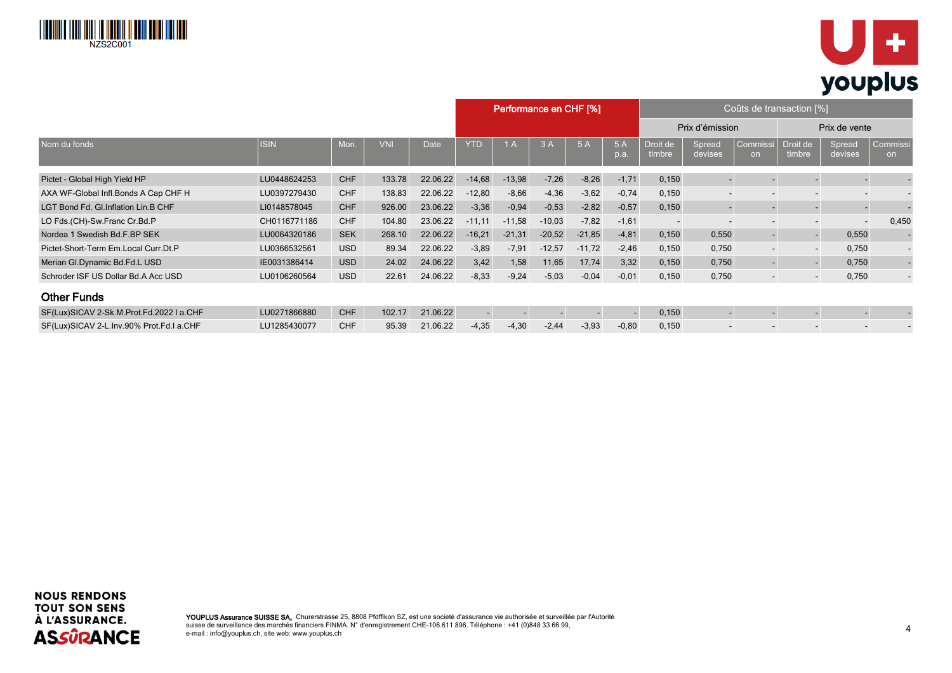



|                                          |              |            |            |             |            |          | Coûts de transaction [%]<br>Performance en CHF [%] |          |           |                          |                          |                           |                          |                          |                 |  |
|------------------------------------------|--------------|------------|------------|-------------|------------|----------|----------------------------------------------------|----------|-----------|--------------------------|--------------------------|---------------------------|--------------------------|--------------------------|-----------------|--|
|                                          |              |            |            |             |            |          |                                                    |          |           |                          | Prix d'émission          |                           |                          | Prix de vente            |                 |  |
| Nom du fonds                             | <b>ISIN</b>  | Mon.       | <b>VNI</b> | <b>Date</b> | <b>YTD</b> | 1A       | 3A                                                 | 5A       | 5A<br>p.a | Droit de<br>timbre       | Spread<br>devises        | Commissi<br><sub>on</sub> | Droit de<br>timbre       | Spread<br>devises        | Commissi<br>on. |  |
| Pictet - Global High Yield HP            | LU0448624253 | <b>CHF</b> | 133.78     | 22.06.22    | $-14,68$   | $-13,98$ | $-7,26$                                            | $-8,26$  | $-1,71$   | 0,150                    |                          |                           |                          |                          |                 |  |
| AXA WF-Global Infl.Bonds A Cap CHF H     | LU0397279430 | <b>CHF</b> | 138.83     | 22.06.22    | $-12,80$   | $-8,66$  | $-4,36$                                            | $-3,62$  | $-0,74$   | 0,150                    | $\sim$                   |                           | $\blacksquare$           | $\overline{\phantom{a}}$ |                 |  |
| LGT Bond Fd. Gl. Inflation Lin. B CHF    | LI0148578045 | CHF        | 926.00     | 23.06.22    | $-3,36$    | $-0,94$  | $-0,53$                                            | $-2,82$  | $-0,57$   | 0,150                    | $\sim$                   | -                         | $\blacksquare$           | $\sim$                   |                 |  |
| LO Fds.(CH)-Sw.Franc Cr.Bd.P             | CH0116771186 | <b>CHF</b> | 104.80     | 23.06.22    | $-11.11$   | $-11,58$ | $-10,03$                                           | $-7,82$  | $-1,61$   | $\overline{\phantom{a}}$ |                          |                           | $\overline{\phantom{a}}$ | $\overline{\phantom{a}}$ | 0,450           |  |
| Nordea 1 Swedish Bd.F.BP SEK             | LU0064320186 | <b>SEK</b> | 268.10     | 22.06.22    | $-16,21$   | $-21,31$ | $-20,52$                                           | $-21,85$ | $-4,81$   | 0,150                    | 0,550                    | $\overline{\phantom{a}}$  | ٠                        | 0,550                    |                 |  |
| Pictet-Short-Term Em.Local Curr.Dt.P     | LU0366532561 | <b>USD</b> | 89.34      | 22.06.22    | $-3,89$    | $-7,91$  | $-12,57$                                           | $-11,72$ | $-2,46$   | 0,150                    | 0,750                    | $\blacksquare$            | $\overline{\phantom{a}}$ | 0,750                    |                 |  |
| Merian Gl.Dynamic Bd.Fd.L USD            | IE0031386414 | <b>USD</b> | 24.02      | 24.06.22    | 3,42       | 1,58     | 11,65                                              | 17,74    | 3,32      | 0,150                    | 0,750                    | $\blacksquare$            | $\blacksquare$           | 0,750                    |                 |  |
| Schroder ISF US Dollar Bd.A Acc USD      | LU0106260564 | <b>USD</b> | 22.61      | 24.06.22    | $-8,33$    | $-9,24$  | $-5,03$                                            | $-0.04$  | $-0.01$   | 0,150                    | 0,750                    | $\sim$ 100 $\,$           | $\sim$                   | 0,750                    |                 |  |
| <b>Other Funds</b>                       |              |            |            |             |            |          |                                                    |          |           |                          |                          |                           |                          |                          |                 |  |
| SF(Lux)SICAV 2-Sk.M.Prot.Fd.2022 I a.CHF | LU0271866880 | <b>CHF</b> | 102.17     | 21.06.22    |            |          |                                                    |          |           | 0,150                    |                          |                           |                          |                          |                 |  |
| SF(Lux)SICAV 2-L.Inv.90% Prot.Fd.I a.CHF | LU1285430077 | <b>CHF</b> | 95.39      | 21.06.22    | $-4,35$    | $-4,30$  | $-2,44$                                            | $-3,93$  | $-0.80$   | 0,150                    | $\overline{\phantom{0}}$ |                           | $\overline{\phantom{a}}$ |                          |                 |  |